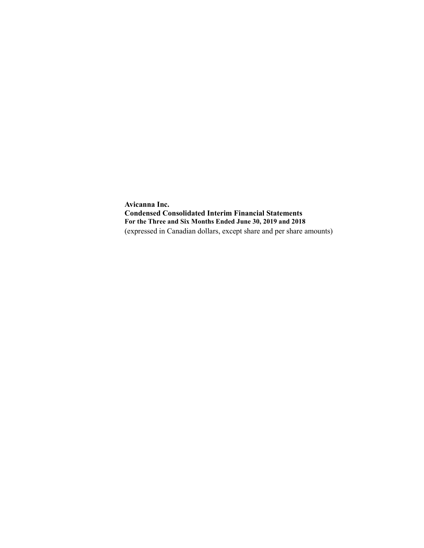**Avicanna Inc. Condensed Consolidated Interim Financial Statements For the Three and Six Months Ended June 30, 2019 and 2018** (expressed in Canadian dollars, except share and per share amounts)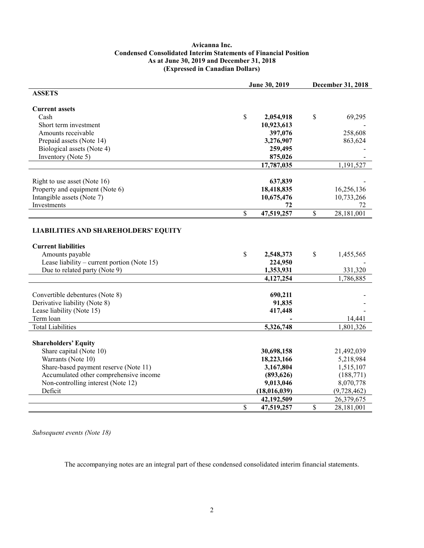#### **Avicanna Inc. Condensed Consolidated Interim Statements of Financial Position As at June 30, 2019 and December 31, 2018 (Expressed in Canadian Dollars)**

|                                             |              | June 30, 2019 | December 31, 2018 |             |  |
|---------------------------------------------|--------------|---------------|-------------------|-------------|--|
| <b>ASSETS</b>                               |              |               |                   |             |  |
|                                             |              |               |                   |             |  |
| <b>Current assets</b>                       |              |               |                   |             |  |
| Cash                                        | \$           | 2,054,918     | \$                | 69,295      |  |
| Short term investment                       |              | 10,923,613    |                   |             |  |
| Amounts receivable                          |              | 397,076       |                   | 258,608     |  |
| Prepaid assets (Note 14)                    |              | 3,276,907     |                   | 863,624     |  |
| Biological assets (Note 4)                  |              | 259,495       |                   |             |  |
| Inventory (Note 5)                          |              | 875,026       |                   |             |  |
|                                             |              | 17,787,035    |                   | 1,191,527   |  |
|                                             |              |               |                   |             |  |
| Right to use asset (Note 16)                |              | 637,839       |                   |             |  |
| Property and equipment (Note 6)             |              | 18,418,835    |                   | 16,256,136  |  |
| Intangible assets (Note 7)                  |              | 10,675,476    |                   | 10,733,266  |  |
| Investments                                 |              | 72            |                   | 72          |  |
|                                             | $\mathbb{S}$ | 47,519,257    | \$                | 28,181,001  |  |
|                                             |              |               |                   |             |  |
| <b>LIABILITIES AND SHAREHOLDERS' EQUITY</b> |              |               |                   |             |  |
|                                             |              |               |                   |             |  |
| <b>Current liabilities</b>                  |              |               |                   |             |  |
| Amounts payable                             | \$           | 2,548,373     | \$                | 1,455,565   |  |
| Lease liability – current portion (Note 15) |              | 224,950       |                   |             |  |
| Due to related party (Note 9)               |              | 1,353,931     |                   | 331,320     |  |
|                                             |              | 4,127,254     |                   | 1,786,885   |  |
|                                             |              |               |                   |             |  |
| Convertible debentures (Note 8)             |              | 690,211       |                   |             |  |
| Derivative liability (Note 8)               |              | 91,835        |                   |             |  |
| Lease liability (Note 15)                   |              | 417,448       |                   |             |  |
| Term loan                                   |              |               |                   | 14,441      |  |
| <b>Total Liabilities</b>                    |              | 5,326,748     |                   | 1,801,326   |  |
|                                             |              |               |                   |             |  |
| <b>Shareholders' Equity</b>                 |              |               |                   |             |  |
| Share capital (Note 10)                     |              | 30,698,158    |                   | 21,492,039  |  |
| Warrants (Note 10)                          |              | 18,223,166    |                   | 5,218,984   |  |
| Share-based payment reserve (Note 11)       |              | 3,167,804     |                   | 1,515,107   |  |
| Accumulated other comprehensive income      |              | (893, 626)    |                   | (188,771)   |  |
| Non-controlling interest (Note 12)          |              | 9,013,046     |                   | 8,070,778   |  |
| Deficit                                     |              | (18,016,039)  |                   | (9,728,462) |  |
|                                             |              | 42,192,509    |                   | 26,379,675  |  |
|                                             | \$           | 47,519,257    | \$                | 28,181,001  |  |

*Subsequent events (Note 18)*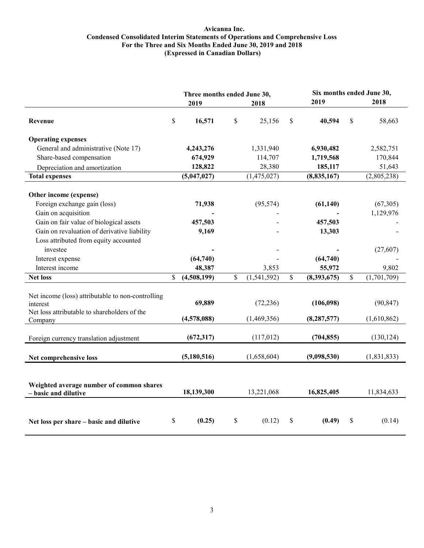#### **Avicanna Inc. Condensed Consolidated Interim Statements of Operations and Comprehensive Loss For the Three and Six Months Ended June 30, 2019 and 2018 (Expressed in Canadian Dollars)**

|                                                                                                                                                                                                                  | Three months ended June 30, |                            |              |                          |    | Six months ended June 30,      |    |                          |  |
|------------------------------------------------------------------------------------------------------------------------------------------------------------------------------------------------------------------|-----------------------------|----------------------------|--------------|--------------------------|----|--------------------------------|----|--------------------------|--|
|                                                                                                                                                                                                                  |                             | 2019                       |              | 2018                     |    | 2019                           |    | 2018                     |  |
| Revenue                                                                                                                                                                                                          | $\mathbb{S}$                | 16,571                     | \$           | 25,156                   | \$ | 40,594                         | \$ | 58,663                   |  |
| <b>Operating expenses</b>                                                                                                                                                                                        |                             |                            |              |                          |    |                                |    |                          |  |
| General and administrative (Note 17)                                                                                                                                                                             |                             | 4,243,276                  |              | 1,331,940                |    | 6,930,482                      |    | 2,582,751                |  |
| Share-based compensation                                                                                                                                                                                         |                             | 674,929                    |              | 114,707                  |    | 1,719,568                      |    | 170,844                  |  |
| Depreciation and amortization                                                                                                                                                                                    |                             | 128,822                    |              | 28,380                   |    | 185,117                        |    | 51,643                   |  |
| <b>Total expenses</b>                                                                                                                                                                                            |                             | (5,047,027)                |              | (1,475,027)              |    | (8,835,167)                    |    | (2,805,238)              |  |
| Other income (expense)<br>Foreign exchange gain (loss)<br>Gain on acquisition<br>Gain on fair value of biological assets<br>Gain on revaluation of derivative liability<br>Loss attributed from equity accounted |                             | 71,938<br>457,503<br>9,169 |              | (95, 574)                |    | (61, 140)<br>457,503<br>13,303 |    | (67, 305)<br>1,129,976   |  |
| investee                                                                                                                                                                                                         |                             |                            |              |                          |    |                                |    | (27, 607)                |  |
| Interest expense                                                                                                                                                                                                 |                             | (64, 740)                  |              |                          |    | (64, 740)                      |    |                          |  |
| Interest income                                                                                                                                                                                                  |                             | 48,387                     |              | 3,853                    |    | 55,972                         |    | 9,802                    |  |
| <b>Net loss</b>                                                                                                                                                                                                  | \$                          | (4,508,199)                | $\mathbb{S}$ | (1,541,592)              | \$ | (8,393,675)                    | \$ | (1,701,709)              |  |
| Net income (loss) attributable to non-controlling<br>interest<br>Net loss attributable to shareholders of the<br>Company                                                                                         |                             | 69,889<br>(4,578,088)      |              | (72, 236)<br>(1,469,356) |    | (106,098)<br>(8, 287, 577)     |    | (90, 847)<br>(1,610,862) |  |
| Foreign currency translation adjustment                                                                                                                                                                          |                             | (672, 317)                 |              | (117,012)                |    | (704, 855)                     |    | (130, 124)               |  |
| Net comprehensive loss                                                                                                                                                                                           |                             | (5,180,516)                |              | (1,658,604)              |    | (9,098,530)                    |    | (1,831,833)              |  |
| Weighted average number of common shares<br>- basic and dilutive                                                                                                                                                 |                             | 18,139,300                 |              | 13,221,068               |    | 16,825,405                     |    | 11,834,633               |  |
| Net loss per share – basic and dilutive                                                                                                                                                                          | \$                          | (0.25)                     | \$           | (0.12)                   | \$ | (0.49)                         | \$ | (0.14)                   |  |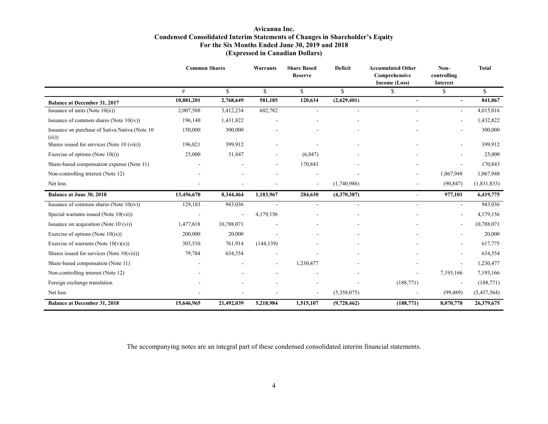#### **Avicanna Inc. Condensed Consolidated Interim Statements of Changes in Shareholder's Equity For the Six Months Ended June 30, 2019 and 2018 (Expressed in Canadian Dollars)**

|                                                          | <b>Common Shares</b> |                | <b>Warrants</b> | <b>Share Based</b><br><b>Reserve</b> | <b>Deficit</b> | <b>Accumulated Other</b><br>Comprehensive<br>Income (Loss) | Non-<br>controlling<br><b>Interest</b> | <b>Total</b>  |
|----------------------------------------------------------|----------------------|----------------|-----------------|--------------------------------------|----------------|------------------------------------------------------------|----------------------------------------|---------------|
|                                                          | #                    | \$             | \$              | \$                                   | \$             | S                                                          | \$                                     | <sup>\$</sup> |
| <b>Balance at December 31, 2017</b>                      | 10,881,201           | 2,768,649      | 581,185         | 120,634                              | (2,629,401)    |                                                            | $\blacksquare$                         | 841,067       |
| Issuance of units (Note $10(ii)$ )                       | 2,007,508            | 3,412,234      | 602,782         | $\overline{a}$                       |                |                                                            | ٠                                      | 4,015,016     |
| Issuance of common shares (Note $10(iv)$ )               | 196,140              | 1,431,822      |                 |                                      |                |                                                            |                                        | 1,432,822     |
| Issuance on purchase of Sativa Nativa (Note 10)<br>(iii) | 150,000              | 300,000        |                 |                                      |                |                                                            |                                        | 300,000       |
| Shares issued for services (Note 10 (viii))              | 196,821              | 399,912        |                 |                                      |                |                                                            | ÷                                      | 399,912       |
| Exercise of options (Note $10(i)$ )                      | 25,000               | 31,847         |                 | (6, 847)                             |                |                                                            |                                        | 25,000        |
| Share-based compensation expense (Note 11)               |                      |                |                 | 170,843                              |                |                                                            | ٠                                      | 170,843       |
| Non-controlling interest (Note 12)                       |                      |                |                 |                                      |                |                                                            | 1,067,948                              | 1,067,948     |
| Net loss                                                 |                      |                |                 | $\overline{\phantom{a}}$             | (1,740,986)    | ۰                                                          | (90, 847)                              | (1,831,833)   |
| <b>Balance at June 30, 2018</b>                          | 13,456,670           | 8,344,464      | 1,183,967       | 284,630                              | (4,370,387)    | $\overline{\phantom{0}}$                                   | 977,101                                | 6,419,775     |
| Issuance of common shares (Note $10(iv)$ )               | 129,183              | 943,036        |                 | ä,                                   |                | ÷.                                                         | $\sim$                                 | 943,036       |
| Special warrants issued (Note $10(vii)$ )                |                      | $\blacksquare$ | 4,179,156       |                                      |                |                                                            |                                        | 4,179,156     |
| Issuance on acquisition (Note $10$ (vi))                 | 1,477,818            | 10,788,071     |                 |                                      |                |                                                            | ٠                                      | 10,788,071    |
| Exercise of options (Note $10(ix)$ )                     | 200,000              | 20,000         |                 |                                      |                |                                                            |                                        | 20,000        |
| Exercise of warrants (Note $10(v)(x)$ )                  | 303,510              | 761,914        | (144, 139)      |                                      |                |                                                            | ٠                                      | 617,775       |
| Shares issued for services (Note 10(viii))               | 79,784               | 634,554        |                 |                                      |                |                                                            |                                        | 634,554       |
| Share-based compensation (Note 11)                       |                      |                |                 | 1,230,477                            |                |                                                            | $\blacksquare$                         | 1,230,477     |
| Non-controlling interest (Note 12)                       |                      |                |                 |                                      |                |                                                            | 7,193,166                              | 7,193,166     |
| Foreign exchange translation                             |                      |                |                 |                                      |                | (188, 771)                                                 |                                        | (188, 771)    |
| Net loss                                                 |                      |                |                 |                                      | (5,358,075)    |                                                            | (99, 489)                              | (5,457,564)   |
| <b>Balance at December 31, 2018</b>                      | 15,646,965           | 21,492,039     | 5,218,984       | 1,515,107                            | (9,728,462)    | (188, 771)                                                 | 8,070,778                              | 26,379,675    |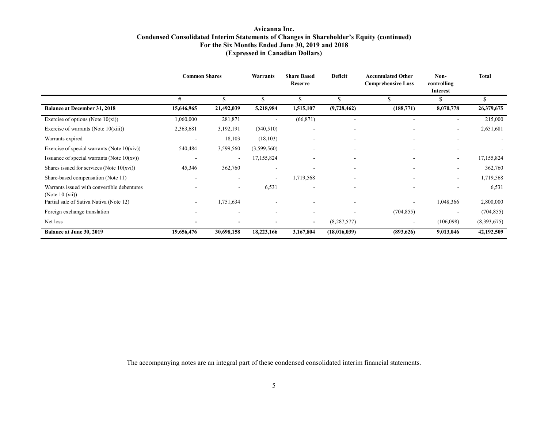#### **Avicanna Inc. Condensed Consolidated Interim Statements of Changes in Shareholder's Equity (continued) For the Six Months Ended June 30, 2019 and 2018 (Expressed in Canadian Dollars)**

|                                                                           | <b>Common Shares</b>     |                          | Warrants                 | <b>Share Based</b><br>Reserve | Deficit                  | <b>Accumulated Other</b><br><b>Comprehensive Loss</b> | Non-<br>controlling<br>Interest | <b>Total</b> |
|---------------------------------------------------------------------------|--------------------------|--------------------------|--------------------------|-------------------------------|--------------------------|-------------------------------------------------------|---------------------------------|--------------|
|                                                                           | #                        | \$                       | S                        | \$                            |                          |                                                       | Ъ                               | \$           |
| <b>Balance at December 31, 2018</b>                                       | 15,646,965               | 21,492,039               | 5,218,984                | 1,515,107                     | (9,728,462)              | (188, 771)                                            | 8,070,778                       | 26,379,675   |
| Exercise of options (Note $10(xi)$ )                                      | 1,060,000                | 281,871                  |                          | (66, 871)                     | $\overline{\phantom{a}}$ |                                                       | $\overline{\phantom{a}}$        | 215,000      |
| Exercise of warrants (Note $10(xiii)$ )                                   | 2,363,681                | 3,192,191                | (540, 510)               | $\overline{\phantom{a}}$      | $\overline{\phantom{a}}$ |                                                       | $\overline{\phantom{a}}$        | 2,651,681    |
| Warrants expired                                                          | $\overline{\phantom{a}}$ | 18,103                   | (18, 103)                | $\overline{\phantom{a}}$      | $\overline{\phantom{a}}$ |                                                       | $\overline{\phantom{a}}$        |              |
| Exercise of special warrants (Note $10(xiv)$ )                            | 540,484                  | 3,599,560                | (3,599,560)              |                               | $\overline{\phantom{a}}$ |                                                       | $\overline{\phantom{a}}$        |              |
| Issuance of special warrants (Note $10(xv)$ )                             |                          |                          | 17,155,824               |                               |                          |                                                       | $\overline{\phantom{0}}$        | 17,155,824   |
| Shares issued for services (Note $10(xvi)$ )                              | 45,346                   | 362,760                  |                          |                               |                          |                                                       | $\overline{\phantom{a}}$        | 362,760      |
| Share-based compensation (Note 11)                                        |                          |                          | $\overline{\phantom{a}}$ | 1,719,568                     |                          |                                                       | $\overline{\phantom{a}}$        | 1,719,568    |
| Warrants issued with convertible debentures<br>(Note $10 \text{ (xii)}$ ) |                          | $\overline{\phantom{a}}$ | 6,531                    |                               |                          |                                                       | $\overline{\phantom{a}}$        | 6,531        |
| Partial sale of Sativa Nativa (Note 12)                                   |                          | 1,751,634                |                          |                               |                          |                                                       | 1,048,366                       | 2,800,000    |
| Foreign exchange translation                                              |                          |                          |                          |                               |                          | (704, 855)                                            |                                 | (704, 855)   |
| Net loss                                                                  |                          |                          |                          | ٠                             | (8, 287, 577)            | $\overline{\phantom{a}}$                              | (106,098)                       | (8,393,675)  |
| <b>Balance at June 30, 2019</b>                                           | 19,656,476               | 30,698,158               | 18,223,166               | 3,167,804                     | (18,016,039)             | (893,626)                                             | 9,013,046                       | 42,192,509   |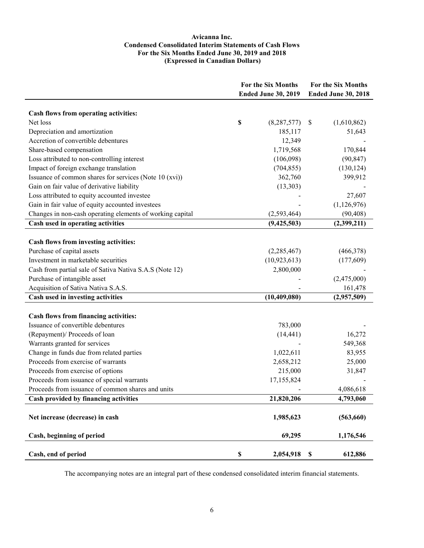#### **Avicanna Inc. Condensed Consolidated Interim Statements of Cash Flows For the Six Months Ended June 30, 2019 and 2018 (Expressed in Canadian Dollars)**

|                                                           | For the Six Months<br><b>Ended June 30, 2019</b> | For the Six Months<br><b>Ended June 30, 2018</b> |
|-----------------------------------------------------------|--------------------------------------------------|--------------------------------------------------|
|                                                           |                                                  |                                                  |
| Cash flows from operating activities:                     |                                                  |                                                  |
| Net loss                                                  | \$<br>(8, 287, 577)                              | (1,610,862)<br>\$                                |
| Depreciation and amortization                             | 185,117                                          | 51,643                                           |
| Accretion of convertible debentures                       | 12,349                                           |                                                  |
| Share-based compensation                                  | 1,719,568                                        | 170,844                                          |
| Loss attributed to non-controlling interest               | (106,098)                                        | (90, 847)                                        |
| Impact of foreign exchange translation                    | (704, 855)                                       | (130, 124)                                       |
| Issuance of common shares for services (Note 10 (xvi))    | 362,760                                          | 399,912                                          |
| Gain on fair value of derivative liability                | (13,303)                                         |                                                  |
| Loss attributed to equity accounted investee              |                                                  | 27,607                                           |
| Gain in fair value of equity accounted investees          |                                                  | (1,126,976)                                      |
| Changes in non-cash operating elements of working capital | (2, 593, 464)                                    | (90, 408)                                        |
| Cash used in operating activities                         | (9,425,503)                                      | (2,399,211)                                      |
|                                                           |                                                  |                                                  |
| Cash flows from investing activities:                     |                                                  |                                                  |
| Purchase of capital assets                                | (2, 285, 467)                                    | (466,378)                                        |
| Investment in marketable securities                       | (10, 923, 613)                                   | (177,609)                                        |
| Cash from partial sale of Sativa Nativa S.A.S (Note 12)   | 2,800,000                                        |                                                  |
| Purchase of intangible asset                              |                                                  | (2,475,000)                                      |
| Acquisition of Sativa Nativa S.A.S.                       |                                                  | 161,478                                          |
| Cash used in investing activities                         | (10, 409, 080)                                   | (2,957,509)                                      |
|                                                           |                                                  |                                                  |
| Cash flows from financing activities:                     |                                                  |                                                  |
| Issuance of convertible debentures                        | 783,000                                          |                                                  |
| (Repayment)/ Proceeds of loan                             | (14, 441)                                        | 16,272                                           |
| Warrants granted for services                             |                                                  | 549,368                                          |
| Change in funds due from related parties                  | 1,022,611                                        | 83,955                                           |
| Proceeds from exercise of warrants                        | 2,658,212                                        | 25,000                                           |
| Proceeds from exercise of options                         | 215,000                                          | 31,847                                           |
| Proceeds from issuance of special warrants                | 17,155,824                                       |                                                  |
| Proceeds from issuance of common shares and units         |                                                  | 4,086,618                                        |
| Cash provided by financing activities                     | 21,820,206                                       | 4,793,060                                        |
| Net increase (decrease) in cash                           | 1,985,623                                        | (563, 660)                                       |
| Cash, beginning of period                                 | 69,295                                           | 1,176,546                                        |
| Cash, end of period                                       | $\mathbb S$<br>2,054,918                         | $\boldsymbol{\mathsf{S}}$<br>612,886             |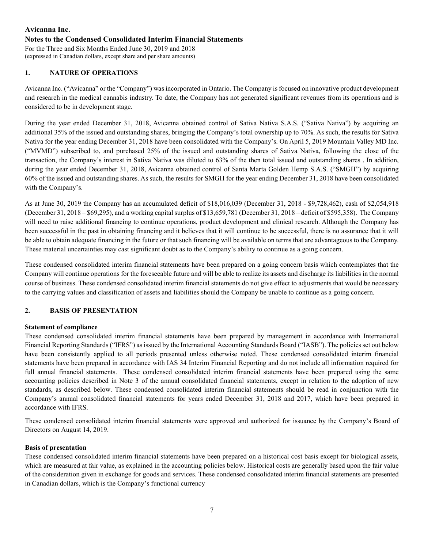# **Avicanna Inc. Notes to the Condensed Consolidated Interim Financial Statements**

For the Three and Six Months Ended June 30, 2019 and 2018 (expressed in Canadian dollars, except share and per share amounts)

# **1. NATURE OF OPERATIONS**

Avicanna Inc. ("Avicanna" or the "Company") was incorporated in Ontario. The Company is focused on innovative product development and research in the medical cannabis industry. To date, the Company has not generated significant revenues from its operations and is considered to be in development stage.

During the year ended December 31, 2018, Avicanna obtained control of Sativa Nativa S.A.S. ("Sativa Nativa") by acquiring an additional 35% of the issued and outstanding shares, bringing the Company's total ownership up to 70%. As such, the results for Sativa Nativa for the year ending December 31, 2018 have been consolidated with the Company's. On April 5, 2019 Mountain Valley MD Inc. ("MVMD") subscribed to, and purchased 25% of the issued and outstanding shares of Sativa Nativa, following the close of the transaction, the Company's interest in Sativa Nativa was diluted to 63% of the then total issued and outstanding shares . In addition, during the year ended December 31, 2018, Avicanna obtained control of Santa Marta Golden Hemp S.A.S. ("SMGH") by acquiring 60% of the issued and outstanding shares. As such, the results for SMGH for the year ending December 31, 2018 have been consolidated with the Company's.

As at June 30, 2019 the Company has an accumulated deficit of \$18,016,039 (December 31, 2018 - \$9,728,462), cash of \$2,054,918 (December 31, 2018 – \$69,295), and a working capital surplus of \$13,659,781 (December 31, 2018 – deficit of \$595,358). The Company will need to raise additional financing to continue operations, product development and clinical research. Although the Company has been successful in the past in obtaining financing and it believes that it will continue to be successful, there is no assurance that it will be able to obtain adequate financing in the future or that such financing will be available on terms that are advantageous to the Company. These material uncertainties may cast significant doubt as to the Company's ability to continue as a going concern.

These condensed consolidated interim financial statements have been prepared on a going concern basis which contemplates that the Company will continue operations for the foreseeable future and will be able to realize its assets and discharge its liabilities in the normal course of business. These condensed consolidated interim financial statements do not give effect to adjustments that would be necessary to the carrying values and classification of assets and liabilities should the Company be unable to continue as a going concern.

# **2. BASIS OF PRESENTATION**

# **Statement of compliance**

These condensed consolidated interim financial statements have been prepared by management in accordance with International Financial Reporting Standards ("IFRS") as issued by the International Accounting Standards Board ("IASB"). The policies set out below have been consistently applied to all periods presented unless otherwise noted. These condensed consolidated interim financial statements have been prepared in accordance with IAS 34 Interim Financial Reporting and do not include all information required for full annual financial statements. These condensed consolidated interim financial statements have been prepared using the same accounting policies described in Note 3 of the annual consolidated financial statements, except in relation to the adoption of new standards, as described below. These condensed consolidated interim financial statements should be read in conjunction with the Company's annual consolidated financial statements for years ended December 31, 2018 and 2017, which have been prepared in accordance with IFRS.

These condensed consolidated interim financial statements were approved and authorized for issuance by the Company's Board of Directors on August 14, 2019.

#### **Basis of presentation**

These condensed consolidated interim financial statements have been prepared on a historical cost basis except for biological assets, which are measured at fair value, as explained in the accounting policies below. Historical costs are generally based upon the fair value of the consideration given in exchange for goods and services. These condensed consolidated interim financial statements are presented in Canadian dollars, which is the Company's functional currency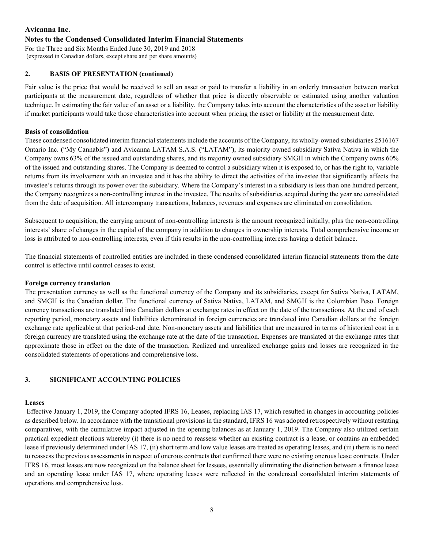#### **Notes to the Condensed Consolidated Interim Financial Statements**

For the Three and Six Months Ended June 30, 2019 and 2018 (expressed in Canadian dollars, except share and per share amounts)

#### **2. BASIS OF PRESENTATION (continued)**

Fair value is the price that would be received to sell an asset or paid to transfer a liability in an orderly transaction between market participants at the measurement date, regardless of whether that price is directly observable or estimated using another valuation technique. In estimating the fair value of an asset or a liability, the Company takes into account the characteristics of the asset or liability if market participants would take those characteristics into account when pricing the asset or liability at the measurement date.

#### **Basis of consolidation**

These condensed consolidated interim financial statementsinclude the accounts of the Company, its wholly-owned subsidiaries 2516167 Ontario Inc. ("My Cannabis") and Avicanna LATAM S.A.S. ("LATAM"), its majority owned subsidiary Sativa Nativa in which the Company owns 63% of the issued and outstanding shares, and its majority owned subsidiary SMGH in which the Company owns 60% of the issued and outstanding shares. The Company is deemed to control a subsidiary when it is exposed to, or has the right to, variable returns from its involvement with an investee and it has the ability to direct the activities of the investee that significantly affects the investee's returns through its power over the subsidiary. Where the Company's interest in a subsidiary is less than one hundred percent, the Company recognizes a non-controlling interest in the investee. The results of subsidiaries acquired during the year are consolidated from the date of acquisition. All intercompany transactions, balances, revenues and expenses are eliminated on consolidation.

Subsequent to acquisition, the carrying amount of non-controlling interests is the amount recognized initially, plus the non-controlling interests' share of changes in the capital of the company in addition to changes in ownership interests. Total comprehensive income or loss is attributed to non-controlling interests, even if this results in the non-controlling interests having a deficit balance.

The financial statements of controlled entities are included in these condensed consolidated interim financial statements from the date control is effective until control ceases to exist.

#### **Foreign currency translation**

The presentation currency as well as the functional currency of the Company and its subsidiaries, except for Sativa Nativa, LATAM, and SMGH is the Canadian dollar. The functional currency of Sativa Nativa, LATAM, and SMGH is the Colombian Peso. Foreign currency transactions are translated into Canadian dollars at exchange rates in effect on the date of the transactions. At the end of each reporting period, monetary assets and liabilities denominated in foreign currencies are translated into Canadian dollars at the foreign exchange rate applicable at that period-end date. Non-monetary assets and liabilities that are measured in terms of historical cost in a foreign currency are translated using the exchange rate at the date of the transaction. Expenses are translated at the exchange rates that approximate those in effect on the date of the transaction. Realized and unrealized exchange gains and losses are recognized in the consolidated statements of operations and comprehensive loss.

#### **3. SIGNIFICANT ACCOUNTING POLICIES**

#### **Leases**

Effective January 1, 2019, the Company adopted IFRS 16, Leases, replacing IAS 17, which resulted in changes in accounting policies as described below. In accordance with the transitional provisions in the standard, IFRS 16 was adopted retrospectively without restating comparatives, with the cumulative impact adjusted in the opening balances as at January 1, 2019. The Company also utilized certain practical expedient elections whereby (i) there is no need to reassess whether an existing contract is a lease, or contains an embedded lease if previously determined under IAS 17, (ii) short term and low value leases are treated as operating leases, and (iii) there is no need to reassess the previous assessments in respect of onerous contracts that confirmed there were no existing onerous lease contracts. Under IFRS 16, most leases are now recognized on the balance sheet for lessees, essentially eliminating the distinction between a finance lease and an operating lease under IAS 17, where operating leases were reflected in the condensed consolidated interim statements of operations and comprehensive loss.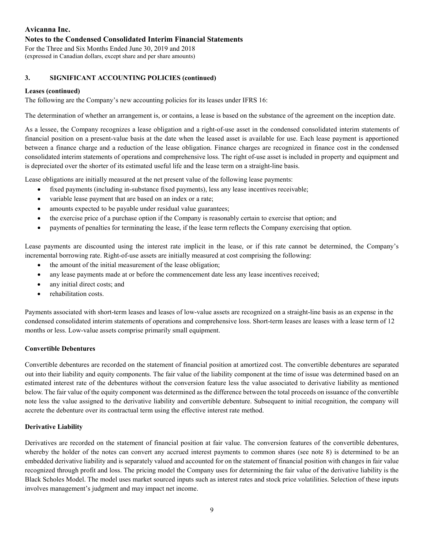#### **Notes to the Condensed Consolidated Interim Financial Statements**

For the Three and Six Months Ended June 30, 2019 and 2018 (expressed in Canadian dollars, except share and per share amounts)

### **3. SIGNIFICANT ACCOUNTING POLICIES (continued)**

#### **Leases (continued)**

The following are the Company's new accounting policies for its leases under IFRS 16:

The determination of whether an arrangement is, or contains, a lease is based on the substance of the agreement on the inception date.

As a lessee, the Company recognizes a lease obligation and a right-of-use asset in the condensed consolidated interim statements of financial position on a present-value basis at the date when the leased asset is available for use. Each lease payment is apportioned between a finance charge and a reduction of the lease obligation. Finance charges are recognized in finance cost in the condensed consolidated interim statements of operations and comprehensive loss. The right of-use asset is included in property and equipment and is depreciated over the shorter of its estimated useful life and the lease term on a straight-line basis.

Lease obligations are initially measured at the net present value of the following lease payments:

- fixed payments (including in-substance fixed payments), less any lease incentives receivable;
- variable lease payment that are based on an index or a rate;
- amounts expected to be payable under residual value guarantees;
- the exercise price of a purchase option if the Company is reasonably certain to exercise that option; and
- payments of penalties for terminating the lease, if the lease term reflects the Company exercising that option.

Lease payments are discounted using the interest rate implicit in the lease, or if this rate cannot be determined, the Company's incremental borrowing rate. Right-of-use assets are initially measured at cost comprising the following:

- the amount of the initial measurement of the lease obligation;
- any lease payments made at or before the commencement date less any lease incentives received;
- any initial direct costs; and
- rehabilitation costs.

Payments associated with short-term leases and leases of low-value assets are recognized on a straight-line basis as an expense in the condensed consolidated interim statements of operations and comprehensive loss. Short-term leases are leases with a lease term of 12 months or less. Low-value assets comprise primarily small equipment.

#### **Convertible Debentures**

Convertible debentures are recorded on the statement of financial position at amortized cost. The convertible debentures are separated out into their liability and equity components. The fair value of the liability component at the time of issue was determined based on an estimated interest rate of the debentures without the conversion feature less the value associated to derivative liability as mentioned below. The fair value of the equity component was determined as the difference between the total proceeds on issuance of the convertible note less the value assigned to the derivative liability and convertible debenture. Subsequent to initial recognition, the company will accrete the debenture over its contractual term using the effective interest rate method.

#### **Derivative Liability**

Derivatives are recorded on the statement of financial position at fair value. The conversion features of the convertible debentures, whereby the holder of the notes can convert any accrued interest payments to common shares (see note 8) is determined to be an embedded derivative liability and is separately valued and accounted for on the statement of financial position with changes in fair value recognized through profit and loss. The pricing model the Company uses for determining the fair value of the derivative liability is the Black Scholes Model. The model uses market sourced inputs such as interest rates and stock price volatilities. Selection of these inputs involves management's judgment and may impact net income.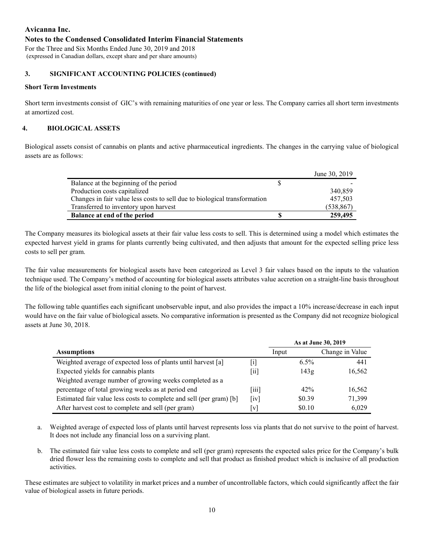### **Notes to the Condensed Consolidated Interim Financial Statements**

For the Three and Six Months Ended June 30, 2019 and 2018 (expressed in Canadian dollars, except share and per share amounts)

### **3. SIGNIFICANT ACCOUNTING POLICIES (continued)**

## **Short Term Investments**

Short term investments consist of GIC's with remaining maturities of one year or less. The Company carries all short term investments at amortized cost.

### **4. BIOLOGICAL ASSETS**

Biological assets consist of cannabis on plants and active pharmaceutical ingredients. The changes in the carrying value of biological assets are as follows:

|                                                                           | June 30, 2019 |
|---------------------------------------------------------------------------|---------------|
| Balance at the beginning of the period                                    |               |
| Production costs capitalized                                              | 340,859       |
| Changes in fair value less costs to sell due to biological transformation | 457,503       |
| Transferred to inventory upon harvest                                     | (538, 867)    |
| Balance at end of the period                                              | 259,495       |

The Company measures its biological assets at their fair value less costs to sell. This is determined using a model which estimates the expected harvest yield in grams for plants currently being cultivated, and then adjusts that amount for the expected selling price less costs to sell per gram.

The fair value measurements for biological assets have been categorized as Level 3 fair values based on the inputs to the valuation technique used. The Company's method of accounting for biological assets attributes value accretion on a straight-line basis throughout the life of the biological asset from initial cloning to the point of harvest.

The following table quantifies each significant unobservable input, and also provides the impact a 10% increase/decrease in each input would have on the fair value of biological assets. No comparative information is presented as the Company did not recognize biological assets at June 30, 2018.

|                                                                     |                             | As at June 30, 2019 |                 |  |  |  |
|---------------------------------------------------------------------|-----------------------------|---------------------|-----------------|--|--|--|
| <b>Assumptions</b>                                                  |                             | Input               | Change in Value |  |  |  |
| Weighted average of expected loss of plants until harvest [a]       | $\ddot{1}$                  | $6.5\%$             | 441             |  |  |  |
| Expected yields for cannabis plants                                 | 11                          | 143g                | 16,562          |  |  |  |
| Weighted average number of growing weeks completed as a             |                             |                     |                 |  |  |  |
| percentage of total growing weeks as at period end                  | $\overline{111}$            | 42%                 | 16,562          |  |  |  |
| Estimated fair value less costs to complete and sell (per gram) [b] | $\lceil \mathrm{iv} \rceil$ | \$0.39              | 71,399          |  |  |  |
| After harvest cost to complete and sell (per gram)                  | [v]                         | \$0.10              | 6,029           |  |  |  |

- a. Weighted average of expected loss of plants until harvest represents loss via plants that do not survive to the point of harvest. It does not include any financial loss on a surviving plant.
- b. The estimated fair value less costs to complete and sell (per gram) represents the expected sales price for the Company's bulk dried flower less the remaining costs to complete and sell that product as finished product which is inclusive of all production activities.

These estimates are subject to volatility in market prices and a number of uncontrollable factors, which could significantly affect the fair value of biological assets in future periods.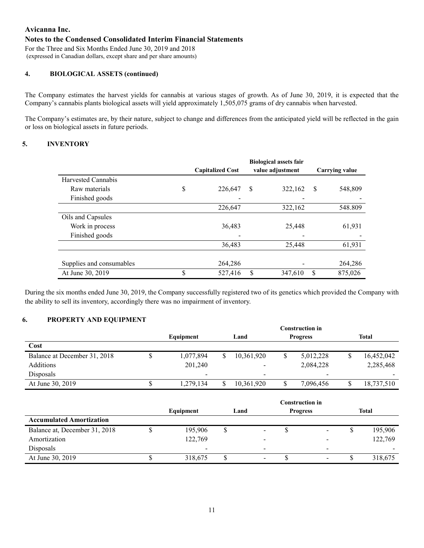### **Notes to the Condensed Consolidated Interim Financial Statements**

For the Three and Six Months Ended June 30, 2019 and 2018 (expressed in Canadian dollars, except share and per share amounts)

#### **4. BIOLOGICAL ASSETS (continued)**

The Company estimates the harvest yields for cannabis at various stages of growth. As of June 30, 2019, it is expected that the Company's cannabis plants biological assets will yield approximately 1,505,075 grams of dry cannabis when harvested.

The Company's estimates are, by their nature, subject to change and differences from the anticipated yield will be reflected in the gain or loss on biological assets in future periods.

#### **5. INVENTORY**

|                          | <b>Capitalized Cost</b> | <b>Biological assets fair</b><br>value adjustment | <b>Carrying value</b> |  |  |
|--------------------------|-------------------------|---------------------------------------------------|-----------------------|--|--|
| Harvested Cannabis       |                         |                                                   |                       |  |  |
| Raw materials            | \$<br>226,647           | <sup>\$</sup><br>322,162                          | \$<br>548,809         |  |  |
| Finished goods           |                         |                                                   |                       |  |  |
|                          | 226,647                 | 322,162                                           | 548.809               |  |  |
| Oils and Capsules        |                         |                                                   |                       |  |  |
| Work in process          | 36,483                  | 25,448                                            | 61,931                |  |  |
| Finished goods           |                         |                                                   |                       |  |  |
|                          | 36,483                  | 25,448                                            | 61,931                |  |  |
|                          |                         |                                                   |                       |  |  |
| Supplies and consumables | 264,286                 |                                                   | 264,286               |  |  |
| At June 30, 2019         | \$<br>527,416           | \$<br>347,610                                     | \$<br>875,026         |  |  |

During the six months ended June 30, 2019, the Company successfully registered two of its genetics which provided the Company with the ability to sell its inventory, accordingly there was no impairment of inventory.

#### **6. PROPERTY AND EQUIPMENT**

|                              |           | Construction in          |  |            |                 |                          |       |            |  |
|------------------------------|-----------|--------------------------|--|------------|-----------------|--------------------------|-------|------------|--|
|                              | Equipment |                          |  | Land       | <b>Progress</b> |                          | Total |            |  |
| Cost                         |           |                          |  |            |                 |                          |       |            |  |
| Balance at December 31, 2018 |           | 1,077,894                |  | 10,361,920 | S               | 5,012,228                |       | 16,452,042 |  |
| Additions                    |           | 201,240                  |  | -          |                 | 2,084,228                |       | 2,285,468  |  |
| <b>Disposals</b>             |           | $\overline{\phantom{a}}$ |  | -          |                 | $\overline{\phantom{a}}$ |       |            |  |
| At June 30, 2019             |           | 1,279,134                |  | 10,361,920 |                 | 7,096,456                |       | 18,737,510 |  |

|                                 |           |      |   | <b>Construction in</b> |                          |              |
|---------------------------------|-----------|------|---|------------------------|--------------------------|--------------|
|                                 | Equipment | Land |   | <b>Progress</b>        |                          | <b>Total</b> |
| <b>Accumulated Amortization</b> |           |      |   |                        |                          |              |
| Balance at, December 31, 2018   | 195,906   |      | - | Φ                      | $\overline{\phantom{a}}$ | 195,906      |
| Amortization                    | 122,769   |      |   |                        |                          | 122,769      |
| Disposals                       | -         |      |   |                        | $\overline{\phantom{0}}$ |              |
| At June 30, 2019                | 318,675   |      |   |                        |                          | 318,675      |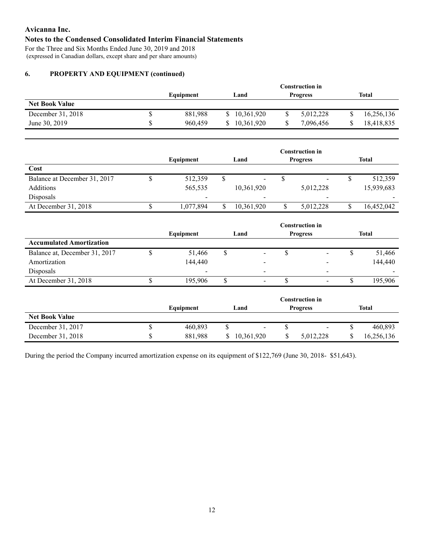# **Notes to the Condensed Consolidated Interim Financial Statements**

For the Three and Six Months Ended June 30, 2019 and 2018 (expressed in Canadian dollars, except share and per share amounts)

# **6. PROPERTY AND EQUIPMENT (continued)**

|                       |           | Construction in |                 |            |  |  |  |  |
|-----------------------|-----------|-----------------|-----------------|------------|--|--|--|--|
|                       | Equipment | Land            | <b>Progress</b> | Total      |  |  |  |  |
| <b>Net Book Value</b> |           |                 |                 |            |  |  |  |  |
| December 31, 2018     | 881.988   | 10,361,920      | 5,012,228<br>P  | 16,256,136 |  |  |  |  |
| June 30, 2019         | 960,459   | 10.361.920      | 7,096,456       | 18,418,835 |  |  |  |  |

|                              |                          |                         |            |  | <b>Construction in</b>   |  |            |
|------------------------------|--------------------------|-------------------------|------------|--|--------------------------|--|------------|
|                              | Equipment                | Land<br><b>Progress</b> |            |  | <b>Total</b>             |  |            |
| Cost                         |                          |                         |            |  |                          |  |            |
| Balance at December 31, 2017 | 512,359                  |                         | ۰.         |  | $\blacksquare$           |  | 512,359    |
| Additions                    | 565,535                  |                         | 10,361,920 |  | 5,012,228                |  | 15,939,683 |
| <b>Disposals</b>             | $\overline{\phantom{a}}$ |                         |            |  | $\overline{\phantom{a}}$ |  |            |
| At December 31, 2018         | 1,077,894                |                         | 10,361,920 |  | 5,012,228                |  | 16,452,042 |

|                                 |           | <b>Construction in</b> |  |                 |                          |  |              |  |
|---------------------------------|-----------|------------------------|--|-----------------|--------------------------|--|--------------|--|
|                                 | Equipment | Land                   |  | <b>Progress</b> |                          |  | <b>Total</b> |  |
| <b>Accumulated Amortization</b> |           |                        |  |                 |                          |  |              |  |
| Balance at, December 31, 2017   | 51,466    | J                      |  | Φ               | $\overline{\phantom{a}}$ |  | 51,466       |  |
| Amortization                    | 144,440   |                        |  |                 |                          |  | 144,440      |  |
| Disposals                       |           |                        |  |                 | $\overline{\phantom{0}}$ |  |              |  |
| At December 31, 2018            | 195,906   |                        |  |                 | $\blacksquare$           |  | 195,906      |  |
|                                 |           |                        |  |                 |                          |  |              |  |

|                       |           | Construction in |                          |            |  |  |  |
|-----------------------|-----------|-----------------|--------------------------|------------|--|--|--|
|                       | Equipment | Land            | <b>Progress</b>          | Total      |  |  |  |
| <b>Net Book Value</b> |           |                 |                          |            |  |  |  |
| December 31, 2017     | 460.893   |                 | $\overline{\phantom{a}}$ | 460,893    |  |  |  |
| December 31, 2018     | 881.988   | 10,361,920      | 5,012,228                | 16,256,136 |  |  |  |

During the period the Company incurred amortization expense on its equipment of \$122,769 (June 30, 2018- \$51,643).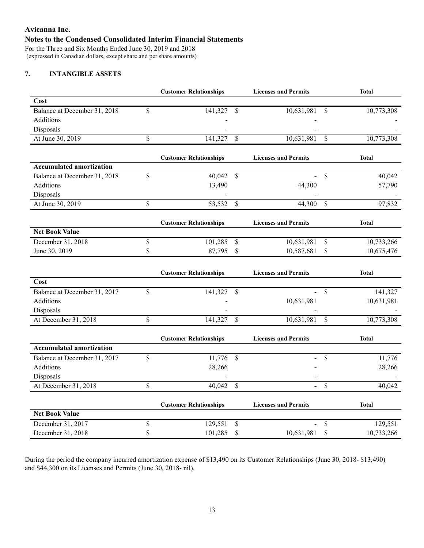# **Avicanna Inc. Notes to the Condensed Consolidated Interim Financial Statements**

For the Three and Six Months Ended June 30, 2019 and 2018 (expressed in Canadian dollars, except share and per share amounts)

# **7. INTANGIBLE ASSETS**

|                                 |    | <b>Customer Relationships</b> | <b>Licenses and Permits</b> |                                |              |  |
|---------------------------------|----|-------------------------------|-----------------------------|--------------------------------|--------------|--|
| Cost                            |    |                               |                             |                                |              |  |
| Balance at December 31, 2018    | \$ | 141,327<br>-\$                | 10,631,981                  | <sup>\$</sup>                  | 10,773,308   |  |
| Additions                       |    |                               |                             |                                |              |  |
| Disposals                       |    |                               |                             |                                |              |  |
| At June 30, 2019                | \$ | 141,327<br>$\mathcal{S}$      | 10,631,981                  | \$                             | 10,773,308   |  |
|                                 |    | <b>Customer Relationships</b> | <b>Licenses and Permits</b> |                                | <b>Total</b> |  |
| <b>Accumulated amortization</b> |    |                               |                             |                                |              |  |
| Balance at December 31, 2018    | \$ | 40,042<br>$\mathcal{S}$       |                             | \$                             | 40,042       |  |
| Additions                       |    | 13,490                        | 44,300                      |                                | 57,790       |  |
| Disposals                       |    |                               |                             |                                |              |  |
| At June 30, 2019                | \$ | 53,532<br>\$                  | 44,300                      | $\mathbf S$                    | 97,832       |  |
|                                 |    | <b>Customer Relationships</b> | <b>Licenses and Permits</b> |                                | <b>Total</b> |  |
| <b>Net Book Value</b>           |    |                               |                             |                                |              |  |
| December 31, 2018               | \$ | 101,285<br>$\mathcal{S}$      | 10,631,981                  | \$                             | 10,733,266   |  |
| June 30, 2019                   | \$ | 87,795<br>\$                  | 10,587,681                  | \$                             | 10,675,476   |  |
|                                 |    | <b>Customer Relationships</b> | <b>Licenses and Permits</b> |                                | <b>Total</b> |  |
| Cost                            |    |                               |                             |                                |              |  |
| Balance at December 31, 2017    | \$ | 141,327<br><sup>\$</sup>      |                             | $\mathbb{S}$                   | 141,327      |  |
| Additions                       |    |                               | 10,631,981                  |                                | 10,631,981   |  |
| Disposals                       |    |                               |                             |                                |              |  |
| At December 31, 2018            | \$ | \$<br>141,327                 | 10,631,981                  | \$                             | 10,773,308   |  |
|                                 |    | <b>Customer Relationships</b> | <b>Licenses and Permits</b> |                                | <b>Total</b> |  |
| <b>Accumulated amortization</b> |    |                               |                             |                                |              |  |
| Balance at December 31, 2017    | \$ | 11,776<br>$\mathcal{S}$       |                             | \$                             | 11,776       |  |
| Additions                       |    | 28,266                        |                             |                                | 28,266       |  |
| Disposals                       |    |                               |                             |                                |              |  |
| At December 31, 2018            | \$ | 40,042<br>$\mathcal{S}$       |                             | $\mathbb{S}$<br>$\overline{a}$ | 40,042       |  |
|                                 |    | <b>Customer Relationships</b> | <b>Licenses and Permits</b> |                                | <b>Total</b> |  |
| <b>Net Book Value</b>           |    |                               |                             |                                |              |  |
|                                 |    |                               |                             |                                |              |  |
| December 31, 2017               | \$ | 129,551<br>\$                 |                             | \$                             | 129,551      |  |

During the period the company incurred amortization expense of \$13,490 on its Customer Relationships (June 30, 2018- \$13,490) and \$44,300 on its Licenses and Permits (June 30, 2018- nil).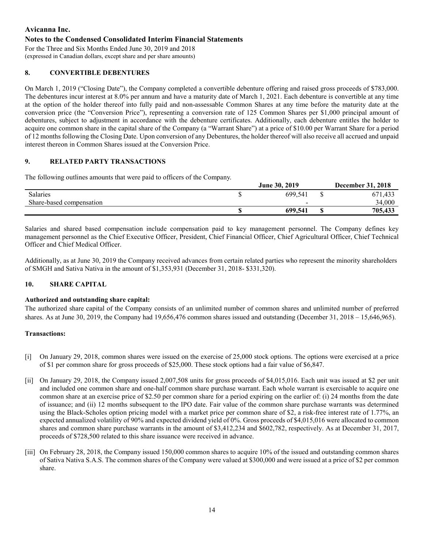### **Notes to the Condensed Consolidated Interim Financial Statements**

For the Three and Six Months Ended June 30, 2019 and 2018 (expressed in Canadian dollars, except share and per share amounts)

## **8. CONVERTIBLE DEBENTURES**

On March 1, 2019 ("Closing Date"), the Company completed a convertible debenture offering and raised gross proceeds of \$783,000. The debentures incur interest at 8.0% per annum and have a maturity date of March 1, 2021. Each debenture is convertible at any time at the option of the holder thereof into fully paid and non-assessable Common Shares at any time before the maturity date at the conversion price (the "Conversion Price"), representing a conversion rate of 125 Common Shares per \$1,000 principal amount of debentures, subject to adjustment in accordance with the debenture certificates. Additionally, each debenture entitles the holder to acquire one common share in the capital share of the Company (a "Warrant Share") at a price of \$10.00 per Warrant Share for a period of 12 months following the Closing Date. Upon conversion of any Debentures, the holder thereof will also receive all accrued and unpaid interest thereon in Common Shares issued at the Conversion Price.

### **9. RELATED PARTY TRANSACTIONS**

The following outlines amounts that were paid to officers of the Company.

|                          | <b>June 30, 2019</b>     | <b>December 31, 2018</b> |
|--------------------------|--------------------------|--------------------------|
| <b>Salaries</b>          | 699,541                  | 671,433                  |
| Share-based compensation | $\overline{\phantom{0}}$ | 34,000                   |
|                          | 699,541                  | 705,433                  |

Salaries and shared based compensation include compensation paid to key management personnel. The Company defines key management personnel as the Chief Executive Officer, President, Chief Financial Officer, Chief Agricultural Officer, Chief Technical Officer and Chief Medical Officer.

Additionally, as at June 30, 2019 the Company received advances from certain related parties who represent the minority shareholders of SMGH and Sativa Nativa in the amount of \$1,353,931 (December 31, 2018- \$331,320).

#### **10. SHARE CAPITAL**

#### **Authorized and outstanding share capital:**

The authorized share capital of the Company consists of an unlimited number of common shares and unlimited number of preferred shares. As at June 30, 2019, the Company had 19,656,476 common shares issued and outstanding (December 31, 2018 – 15,646,965).

#### **Transactions:**

- [i] On January 29, 2018, common shares were issued on the exercise of 25,000 stock options. The options were exercised at a price of \$1 per common share for gross proceeds of \$25,000. These stock options had a fair value of \$6,847.
- [ii] On January 29, 2018, the Company issued 2,007,508 units for gross proceeds of \$4,015,016. Each unit was issued at \$2 per unit and included one common share and one-half common share purchase warrant. Each whole warrant is exercisable to acquire one common share at an exercise price of \$2.50 per common share for a period expiring on the earlier of: (i) 24 months from the date of issuance; and (ii) 12 months subsequent to the IPO date. Fair value of the common share purchase warrants was determined using the Black-Scholes option pricing model with a market price per common share of \$2, a risk-free interest rate of 1.77%, an expected annualized volatility of 90% and expected dividend yield of 0%. Gross proceeds of \$4,015,016 were allocated to common shares and common share purchase warrants in the amount of \$3,412,234 and \$602,782, respectively. As at December 31, 2017, proceeds of \$728,500 related to this share issuance were received in advance.
- [iii] On February 28, 2018, the Company issued 150,000 common shares to acquire 10% of the issued and outstanding common shares of Sativa Nativa S.A.S. The common shares of the Company were valued at \$300,000 and were issued at a price of \$2 per common share.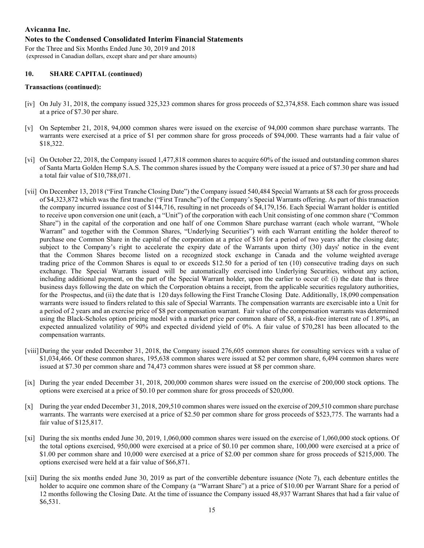#### **Notes to the Condensed Consolidated Interim Financial Statements**

For the Three and Six Months Ended June 30, 2019 and 2018 (expressed in Canadian dollars, except share and per share amounts)

#### **10. SHARE CAPITAL (continued)**

#### **Transactions (continued):**

- [iv] On July 31, 2018, the company issued 325,323 common shares for gross proceeds of \$2,374,858. Each common share was issued at a price of \$7.30 per share.
- [v] On September 21, 2018, 94,000 common shares were issued on the exercise of 94,000 common share purchase warrants. The warrants were exercised at a price of \$1 per common share for gross proceeds of \$94,000. These warrants had a fair value of \$18,322.
- [vi] On October 22, 2018, the Company issued 1,477,818 common shares to acquire 60% of the issued and outstanding common shares of Santa Marta Golden Hemp S.A.S. The common shares issued by the Company were issued at a price of \$7.30 per share and had a total fair value of \$10,788,071.
- [vii] On December 13, 2018 ("First Tranche Closing Date") the Company issued 540,484 Special Warrants at \$8 each for gross proceeds of \$4,323,872 which was the first tranche ("First Tranche") of the Company's Special Warrants offering. As part of this transaction the company incurred issuance cost of \$144,716, resulting in net proceeds of \$4,179,156. Each Special Warrant holder is entitled to receive upon conversion one unit (each, a "Unit") of the corporation with each Unit consisting of one common share ("Common Share") in the capital of the corporation and one half of one Common Share purchase warrant (each whole warrant, "Whole Warrant" and together with the Common Shares, "Underlying Securities") with each Warrant entitling the holder thereof to purchase one Common Share in the capital of the corporation at a price of \$10 for a period of two years after the closing date; subject to the Company's right to accelerate the expiry date of the Warrants upon thirty (30) days' notice in the event that the Common Shares become listed on a recognized stock exchange in Canada and the volume weighted average trading price of the Common Shares is equal to or exceeds \$12.50 for a period of ten (10) consecutive trading days on such exchange. The Special Warrants issued will be automatically exercised into Underlying Securities, without any action, including additional payment, on the part of the Special Warrant holder, upon the earlier to occur of: (i) the date that is three business days following the date on which the Corporation obtains a receipt, from the applicable securities regulatory authorities, for the Prospectus, and (ii) the date that is 120 days following the First Tranche Closing Date. Additionally, 18,090 compensation warrants were issued to finders related to this sale of Special Warrants. The compensation warrants are exercisable into a Unit for a period of 2 years and an exercise price of \$8 per compensation warrant. Fair value of the compensation warrants was determined using the Black-Scholes option pricing model with a market price per common share of \$8, a risk-free interest rate of 1.89%, an expected annualized volatility of 90% and expected dividend yield of 0%. A fair value of \$70,281 has been allocated to the compensation warrants.
- [viii] During the year ended December 31, 2018, the Company issued 276,605 common shares for consulting services with a value of \$1,034,466. Of these common shares, 195,638 common shares were issued at \$2 per common share, 6,494 common shares were issued at \$7.30 per common share and 74,473 common shares were issued at \$8 per common share.
- [ix] During the year ended December 31, 2018, 200,000 common shares were issued on the exercise of 200,000 stock options. The options were exercised at a price of \$0.10 per common share for gross proceeds of \$20,000.
- [x] During the year ended December 31, 2018, 209,510 common shares were issued on the exercise of 209,510 common share purchase warrants. The warrants were exercised at a price of \$2.50 per common share for gross proceeds of \$523,775. The warrants had a fair value of \$125,817.
- [xi] During the six months ended June 30, 2019, 1,060,000 common shares were issued on the exercise of 1,060,000 stock options. Of the total options exercised, 950,000 were exercised at a price of \$0.10 per common share, 100,000 were exercised at a price of \$1.00 per common share and 10,000 were exercised at a price of \$2.00 per common share for gross proceeds of \$215,000. The options exercised were held at a fair value of \$66,871.
- [xii] During the six months ended June 30, 2019 as part of the convertible debenture issuance (Note 7), each debenture entitles the holder to acquire one common share of the Company (a "Warrant Share") at a price of \$10.00 per Warrant Share for a period of 12 months following the Closing Date. At the time of issuance the Company issued 48,937 Warrant Shares that had a fair value of \$6,531.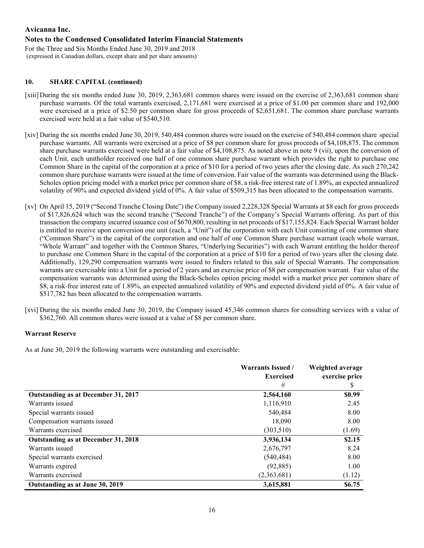# **Avicanna Inc. Notes to the Condensed Consolidated Interim Financial Statements**

For the Three and Six Months Ended June 30, 2019 and 2018 (expressed in Canadian dollars, except share and per share amounts)

# **10. SHARE CAPITAL (continued)**

- [xiii] During the six months ended June 30, 2019, 2,363,681 common shares were issued on the exercise of 2,363,681 common share purchase warrants. Of the total warrants exercised, 2,171,681 were exercised at a price of \$1.00 per common share and 192,000 were exercised at a price of \$2.50 per common share for gross proceeds of \$2,651,681. The common share purchase warrants exercised were held at a fair value of \$540,510.
- [xiv] During the six months ended June 30, 2019, 540,484 common shares were issued on the exercise of 540,484 common share special purchase warrants. All warrants were exercised at a price of \$8 per common share for gross proceeds of \$4,108,875. The common share purchase warrants exercised were held at a fair value of \$4,108,875. As noted above in note 9 (vii), upon the conversion of each Unit, each unitholder received one half of one common share purchase warrant which provides the right to purchase one Common Share in the capital of the corporation at a price of \$10 for a period of two years after the closing date. As such 270,242 common share purchase warrants were issued at the time of conversion. Fair value of the warrants was determined using the Black-Scholes option pricing model with a market price per common share of \$8, a risk-free interest rate of 1.89%, an expected annualized volatility of 90% and expected dividend yield of 0%. A fair value of \$509,315 has been allocated to the compensation warrants.
- [xv] On April 15, 2019 ("Second Tranche Closing Date") the Company issued 2,228,328 Special Warrants at \$8 each for gross proceeds of \$17,826,624 which was the second tranche ("Second Tranche") of the Company's Special Warrants offering. As part of this transaction the company incurred issuance cost of \$670,800, resulting in net proceeds of \$17,155,824. Each Special Warrant holder is entitled to receive upon conversion one unit (each, a "Unit") of the corporation with each Unit consisting of one common share ("Common Share") in the capital of the corporation and one half of one Common Share purchase warrant (each whole warrant, "Whole Warrant" and together with the Common Shares, "Underlying Securities") with each Warrant entitling the holder thereof to purchase one Common Share in the capital of the corporation at a price of \$10 for a period of two years after the closing date. Additionally, 129,290 compensation warrants were issued to finders related to this sale of Special Warrants. The compensation warrants are exercisable into a Unit for a period of 2 years and an exercise price of \$8 per compensation warrant. Fair value of the compensation warrants was determined using the Black-Scholes option pricing model with a market price per common share of \$8, a risk-free interest rate of 1.89%, an expected annualized volatility of 90% and expected dividend yield of 0%. A fair value of \$517,782 has been allocated to the compensation warrants.
- [xvi] During the six months ended June 30, 2019, the Company issued 45,346 common shares for consulting services with a value of \$362,760. All common shares were issued at a value of \$8 per common share.

# **Warrant Reserve**

As at June 30, 2019 the following warrants were outstanding and exercisable:

|                                     | <b>Warrants Issued /</b> | Weighted average |
|-------------------------------------|--------------------------|------------------|
|                                     | <b>Exercised</b>         | exercise price   |
|                                     | #                        | S                |
| Outstanding as at December 31, 2017 | 2,564,160                | \$0.99           |
| Warrants issued                     | 1,116,910                | 2.45             |
| Special warrants issued             | 540,484                  | 8.00             |
| Compensation warrants issued        | 18,090                   | 8.00             |
| Warrants exercised                  | (303, 510)               | (1.69)           |
| Outstanding as at December 31, 2018 | 3,936,134                | \$2.15           |
| Warrants issued                     | 2,676,797                | 8.24             |
| Special warrants exercised          | (540, 484)               | 8.00             |
| Warrants expired                    | (92, 885)                | 1.00             |
| Warrants exercised                  | (2,363,681)              | (1.12)           |
| Outstanding as at June 30, 2019     | 3,615,881                | \$6.75           |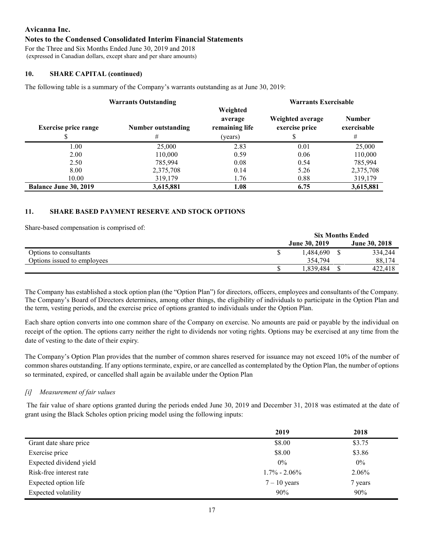#### **Notes to the Condensed Consolidated Interim Financial Statements**

For the Three and Six Months Ended June 30, 2019 and 2018 (expressed in Canadian dollars, except share and per share amounts)

### **10. SHARE CAPITAL (continued)**

The following table is a summary of the Company's warrants outstanding as at June 30, 2019:

|                              | <b>Warrants Outstanding</b> |                | <b>Warrants Exercisable</b> |               |  |  |
|------------------------------|-----------------------------|----------------|-----------------------------|---------------|--|--|
|                              |                             | Weighted       |                             |               |  |  |
|                              |                             | average        | Weighted average            | <b>Number</b> |  |  |
| <b>Exercise price range</b>  | Number outstanding          | remaining life | exercise price              | exercisable   |  |  |
|                              | #                           | (years)        |                             | #             |  |  |
| 1.00                         | 25,000                      | 2.83           | 0.01                        | 25,000        |  |  |
| 2.00                         | 110,000                     | 0.59           | 0.06                        | 110,000       |  |  |
| 2.50                         | 785,994                     | 0.08           | 0.54                        | 785,994       |  |  |
| 8.00                         | 2,375,708                   | 0.14           | 5.26                        | 2,375,708     |  |  |
| 10.00                        | 319,179                     | 1.76           | 0.88                        | 319,179       |  |  |
| <b>Balance June 30, 2019</b> | 3,615,881                   | 1.08           | 6.75                        | 3,615,881     |  |  |

### **11. SHARE BASED PAYMENT RESERVE AND STOCK OPTIONS**

Share-based compensation is comprised of:

|                             | <b>Six Months Ended</b> |  |                      |  |
|-----------------------------|-------------------------|--|----------------------|--|
|                             | <b>June 30, 2019</b>    |  | <b>June 30, 2018</b> |  |
| Options to consultants      | 1,484,690               |  | 334,244              |  |
| Options issued to employees | 354.794                 |  | 88,174               |  |
|                             | 1.839.484               |  | 422.418              |  |

The Company has established a stock option plan (the "Option Plan") for directors, officers, employees and consultants of the Company. The Company's Board of Directors determines, among other things, the eligibility of individuals to participate in the Option Plan and the term, vesting periods, and the exercise price of options granted to individuals under the Option Plan.

Each share option converts into one common share of the Company on exercise. No amounts are paid or payable by the individual on receipt of the option. The options carry neither the right to dividends nor voting rights. Options may be exercised at any time from the date of vesting to the date of their expiry.

The Company's Option Plan provides that the number of common shares reserved for issuance may not exceed 10% of the number of common shares outstanding. If any options terminate, expire, or are cancelled as contemplated by the Option Plan, the number of options so terminated, expired, or cancelled shall again be available under the Option Plan

#### *[i] Measurement of fair values*

The fair value of share options granted during the periods ended June 30, 2019 and December 31, 2018 was estimated at the date of grant using the Black Scholes option pricing model using the following inputs:

|                         | 2019             | 2018    |
|-------------------------|------------------|---------|
| Grant date share price  | \$8.00           | \$3.75  |
| Exercise price          | \$8.00           | \$3.86  |
| Expected dividend yield | $0\%$            | $0\%$   |
| Risk-free interest rate | $1.7\% - 2.06\%$ | 2.06%   |
| Expected option life    | $7 - 10$ years   | 7 years |
| Expected volatility     | 90%              | 90%     |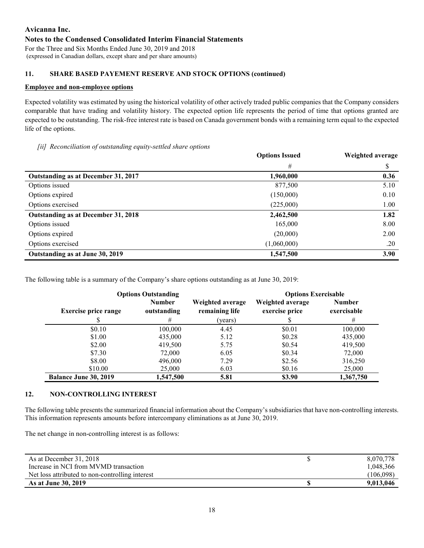# **Avicanna Inc. Notes to the Condensed Consolidated Interim Financial Statements** For the Three and Six Months Ended June 30, 2019 and 2018

(expressed in Canadian dollars, except share and per share amounts)

# **11. SHARE BASED PAYEMENT RESERVE AND STOCK OPTIONS (continued)**

### **Employee and non-employee options**

Expected volatility was estimated by using the historical volatility of other actively traded public companies that the Company considers comparable that have trading and volatility history. The expected option life represents the period of time that options granted are expected to be outstanding. The risk-free interest rate is based on Canada government bonds with a remaining term equal to the expected life of the options.

#### *[ii] Reconciliation of outstanding equity-settled share options*

|                                     | <b>Options Issued</b> | Weighted average |
|-------------------------------------|-----------------------|------------------|
|                                     | #                     | \$               |
| Outstanding as at December 31, 2017 | 1,960,000             | 0.36             |
| Options issued                      | 877,500               | 5.10             |
| Options expired                     | (150,000)             | 0.10             |
| Options exercised                   | (225,000)             | 1.00             |
| Outstanding as at December 31, 2018 | 2,462,500             | 1.82             |
| Options issued                      | 165,000               | 8.00             |
| Options expired                     | (20,000)              | 2.00             |
| Options exercised                   | (1,060,000)           | .20              |
| Outstanding as at June 30, 2019     | 1,547,500             | 3.90             |

The following table is a summary of the Company's share options outstanding as at June 30, 2019:

|                              | <b>Options Outstanding</b>   | <b>Options Exercisable</b>         |                                    |                              |  |  |  |
|------------------------------|------------------------------|------------------------------------|------------------------------------|------------------------------|--|--|--|
| <b>Exercise price range</b>  | <b>Number</b><br>outstanding | Weighted average<br>remaining life | Weighted average<br>exercise price | <b>Number</b><br>exercisable |  |  |  |
|                              | #                            | (years)                            |                                    | #                            |  |  |  |
| \$0.10                       | 100,000                      | 4.45                               | \$0.01                             | 100,000                      |  |  |  |
| \$1.00                       | 435,000                      | 5.12                               | \$0.28                             | 435,000                      |  |  |  |
| \$2.00                       | 419,500                      | 5.75                               | \$0.54                             | 419,500                      |  |  |  |
| \$7.30                       | 72,000                       | 6.05                               | \$0.34                             | 72,000                       |  |  |  |
| \$8.00                       | 496,000                      | 7.29                               | \$2.56                             | 316,250                      |  |  |  |
| \$10.00                      | 25,000                       | 6.03                               | \$0.16                             | 25,000                       |  |  |  |
| <b>Balance June 30, 2019</b> | 1,547,500                    | 5.81                               | \$3.90                             | 1,367,750                    |  |  |  |

# **12. NON-CONTROLLING INTEREST**

The following table presents the summarized financial information about the Company's subsidiaries that have non-controlling interests. This information represents amounts before intercompany eliminations as at June 30, 2019.

The net change in non-controlling interest is as follows:

| As at December 31, 2018                         | 8,070,778 |
|-------------------------------------------------|-----------|
| Increase in NCI from MVMD transaction           | 1,048,366 |
| Net loss attributed to non-controlling interest | (106,098) |
| As at June 30, 2019                             | 9,013,046 |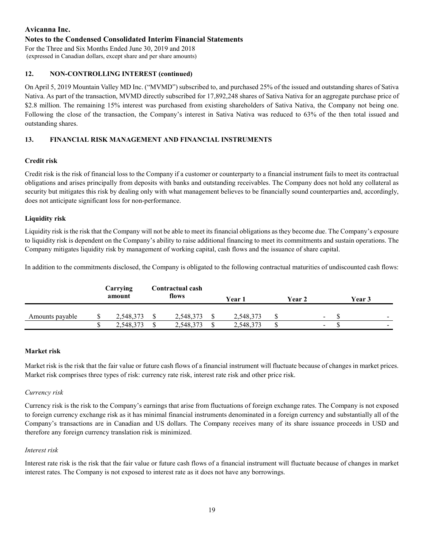## **Notes to the Condensed Consolidated Interim Financial Statements**

For the Three and Six Months Ended June 30, 2019 and 2018 (expressed in Canadian dollars, except share and per share amounts)

## **12. NON-CONTROLLING INTEREST (continued)**

On April 5, 2019 Mountain Valley MD Inc. ("MVMD") subscribed to, and purchased 25% of the issued and outstanding shares of Sativa Nativa. As part of the transaction, MVMD directly subscribed for 17,892,248 shares of Sativa Nativa for an aggregate purchase price of \$2.8 million. The remaining 15% interest was purchased from existing shareholders of Sativa Nativa, the Company not being one. Following the close of the transaction, the Company's interest in Sativa Nativa was reduced to 63% of the then total issued and outstanding shares.

### **13. FINANCIAL RISK MANAGEMENT AND FINANCIAL INSTRUMENTS**

### **Credit risk**

Credit risk is the risk of financial loss to the Company if a customer or counterparty to a financial instrument fails to meet its contractual obligations and arises principally from deposits with banks and outstanding receivables. The Company does not hold any collateral as security but mitigates this risk by dealing only with what management believes to be financially sound counterparties and, accordingly, does not anticipate significant loss for non-performance.

### **Liquidity risk**

Liquidity risk is the risk that the Company will not be able to meet its financial obligations as they become due. The Company's exposure to liquidity risk is dependent on the Company's ability to raise additional financing to meet its commitments and sustain operations. The Company mitigates liquidity risk by management of working capital, cash flows and the issuance of share capital.

In addition to the commitments disclosed, the Company is obligated to the following contractual maturities of undiscounted cash flows:

|                 | Carrying<br>amount |   | Contractual cash<br>flows |   | Year 1    | Year 2 |        | Year 3 |                          |
|-----------------|--------------------|---|---------------------------|---|-----------|--------|--------|--------|--------------------------|
| Amounts payable | 2,548,373          |   | 2,548,373                 |   | 2,548,373 |        | $\sim$ |        | $\sim$                   |
|                 | 2,548,373          | S | 2,548,373                 | S | 2,548,373 |        | $\sim$ |        | $\overline{\phantom{a}}$ |

#### **Market risk**

Market risk is the risk that the fair value or future cash flows of a financial instrument will fluctuate because of changes in market prices. Market risk comprises three types of risk: currency rate risk, interest rate risk and other price risk.

#### *Currency risk*

Currency risk is the risk to the Company's earnings that arise from fluctuations of foreign exchange rates. The Company is not exposed to foreign currency exchange risk as it has minimal financial instruments denominated in a foreign currency and substantially all of the Company's transactions are in Canadian and US dollars. The Company receives many of its share issuance proceeds in USD and therefore any foreign currency translation risk is minimized.

#### *Interest risk*

Interest rate risk is the risk that the fair value or future cash flows of a financial instrument will fluctuate because of changes in market interest rates. The Company is not exposed to interest rate as it does not have any borrowings.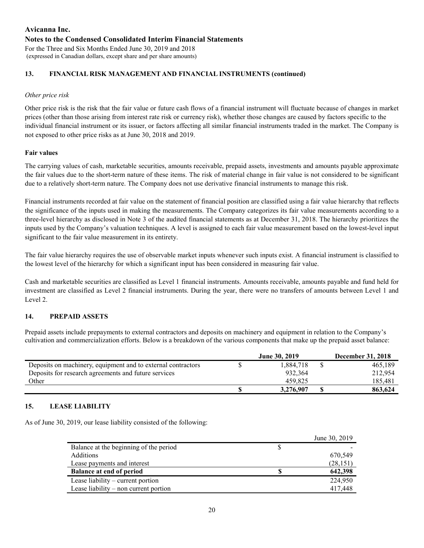# **Avicanna Inc. Notes to the Condensed Consolidated Interim Financial Statements** For the Three and Six Months Ended June 30, 2019 and 2018

(expressed in Canadian dollars, except share and per share amounts)

# **13. FINANCIAL RISK MANAGEMENT AND FINANCIAL INSTRUMENTS (continued)**

## *Other price risk*

Other price risk is the risk that the fair value or future cash flows of a financial instrument will fluctuate because of changes in market prices (other than those arising from interest rate risk or currency risk), whether those changes are caused by factors specific to the individual financial instrument or its issuer, or factors affecting all similar financial instruments traded in the market. The Company is not exposed to other price risks as at June 30, 2018 and 2019.

### **Fair values**

The carrying values of cash, marketable securities, amounts receivable, prepaid assets, investments and amounts payable approximate the fair values due to the short-term nature of these items. The risk of material change in fair value is not considered to be significant due to a relatively short-term nature. The Company does not use derivative financial instruments to manage this risk.

Financial instruments recorded at fair value on the statement of financial position are classified using a fair value hierarchy that reflects the significance of the inputs used in making the measurements. The Company categorizes its fair value measurements according to a three-level hierarchy as disclosed in Note 3 of the audited financial statements as at December 31, 2018. The hierarchy prioritizes the inputs used by the Company's valuation techniques. A level is assigned to each fair value measurement based on the lowest-level input significant to the fair value measurement in its entirety.

The fair value hierarchy requires the use of observable market inputs whenever such inputs exist. A financial instrument is classified to the lowest level of the hierarchy for which a significant input has been considered in measuring fair value.

Cash and marketable securities are classified as Level 1 financial instruments. Amounts receivable, amounts payable and fund held for investment are classified as Level 2 financial instruments. During the year, there were no transfers of amounts between Level 1 and Level 2.

# **14. PREPAID ASSETS**

Prepaid assets include prepayments to external contractors and deposits on machinery and equipment in relation to the Company's cultivation and commercialization efforts. Below is a breakdown of the various components that make up the prepaid asset balance:

|                                                              | <b>June 30, 2019</b> | <b>December 31, 2018</b> |
|--------------------------------------------------------------|----------------------|--------------------------|
| Deposits on machinery, equipment and to external contractors | 1.884.718            | 465,189                  |
| Deposits for research agreements and future services         | 932.364              | 212,954                  |
| Other                                                        | 459.825              | 185,481                  |
|                                                              | 3,276,907            | 863,624                  |

#### **15. LEASE LIABILITY**

As of June 30, 2019, our lease liability consisted of the following:

|                                        | June 30, 2019 |
|----------------------------------------|---------------|
| Balance at the beginning of the period |               |
| Additions                              | 670,549       |
| Lease payments and interest            | (28, 151)     |
| <b>Balance at end of period</b>        | 642,398       |
| Lease liability $-$ current portion    | 224,950       |
| Lease liability – non current portion  | 417,448       |